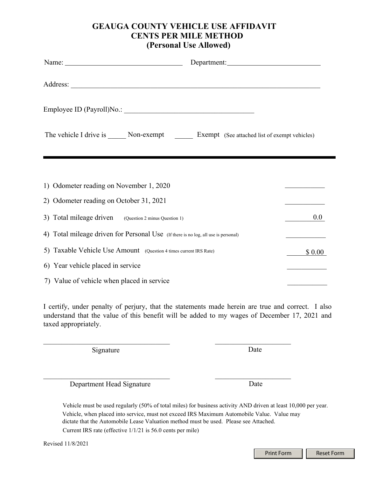## **GEAUGA COUNTY VEHICLE USE AFFIDAVIT CENTS PER MILE METHOD (Personal Use Allowed)**

| Name: $\frac{1}{\sqrt{1-\frac{1}{2}}\sqrt{1-\frac{1}{2}}\sqrt{1-\frac{1}{2}}\sqrt{1-\frac{1}{2}}\sqrt{1-\frac{1}{2}}}}$ |        |
|-------------------------------------------------------------------------------------------------------------------------|--------|
|                                                                                                                         |        |
|                                                                                                                         |        |
| The vehicle I drive is _______ Non-exempt _________ Exempt (See attached list of exempt vehicles)                       |        |
|                                                                                                                         |        |
| 1) Odometer reading on November 1, 2020                                                                                 |        |
| 2) Odometer reading on October 31, 2021                                                                                 |        |
| 3) Total mileage driven (Question 2 minus Question 1)                                                                   | 0.0    |
| 4) Total mileage driven for Personal Use (If there is no log, all use is personal)                                      |        |
| 5) Taxable Vehicle Use Amount (Question 4 times current IRS Rate)                                                       | \$0.00 |
| 6) Year vehicle placed in service                                                                                       |        |
| 7) Value of vehicle when placed in service                                                                              |        |

I certify, under penalty of perjury, that the statements made herein are true and correct. I also understand that the value of this benefit will be added to my wages of December 17, 2021 and taxed appropriately.

 $\_$  , and the contribution of the contribution of  $\mathcal{L}_\mathcal{A}$ 

Signature Date

Department Head Signature Date

Vehicle must be used regularly (50% of total miles) for business activity AND driven at least 10,000 per year. Vehicle, when placed into service, must not exceed IRS Maximum Automobile Value. Value may dictate that the Automobile Lease Valuation method must be used. Please see Attached.

Current IRS rate (effective 1/1/21 is 56.0 cents per mile)

Print Form | Reset Form